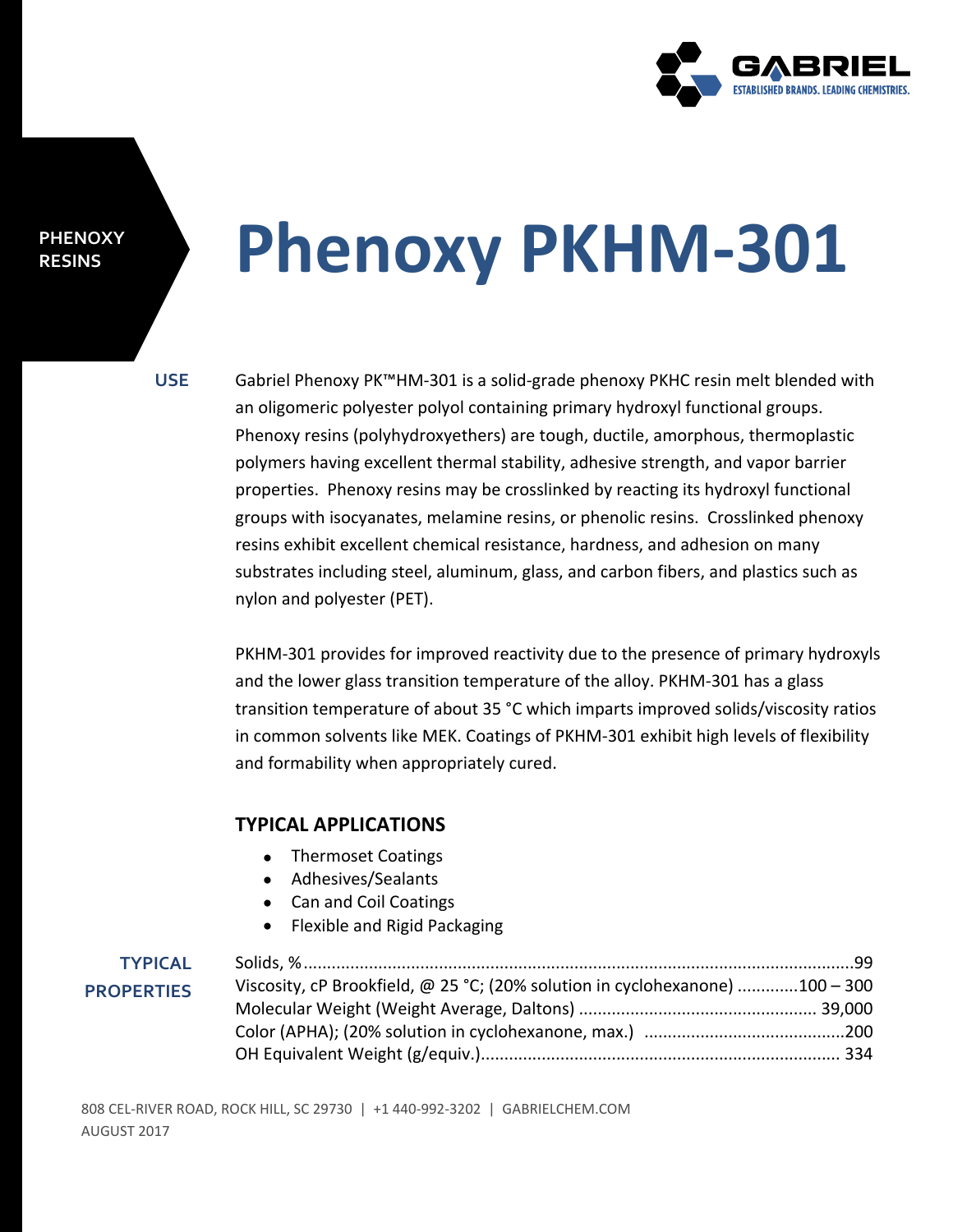

#### **PHENOXY RESINS**

# **Phenoxy PKHM-301**

**USE** Gabriel Phenoxy PK™HM-301 is a solid-grade phenoxy PKHC resin melt blended with an oligomeric polyester polyol containing primary hydroxyl functional groups. Phenoxy resins (polyhydroxyethers) are tough, ductile, amorphous, thermoplastic polymers having excellent thermal stability, adhesive strength, and vapor barrier properties. Phenoxy resins may be crosslinked by reacting its hydroxyl functional groups with isocyanates, melamine resins, or phenolic resins. Crosslinked phenoxy resins exhibit excellent chemical resistance, hardness, and adhesion on many substrates including steel, aluminum, glass, and carbon fibers, and plastics such as nylon and polyester (PET).

> PKHM-301 provides for improved reactivity due to the presence of primary hydroxyls and the lower glass transition temperature of the alloy. PKHM-301 has a glass transition temperature of about 35 °C which imparts improved solids/viscosity ratios in common solvents like MEK. Coatings of PKHM-301 exhibit high levels of flexibility and formability when appropriately cured.

### **TYPICAL APPLICATIONS**

- Thermoset Coatings
- Adhesives/Sealants
- Can and Coil Coatings
- Flexible and Rigid Packaging

### **TYPICAL PROPERTIES**

| Viscosity, cP Brookfield, @ 25 °C; (20% solution in cyclohexanone) 100 - 300 |  |
|------------------------------------------------------------------------------|--|
|                                                                              |  |
|                                                                              |  |
|                                                                              |  |